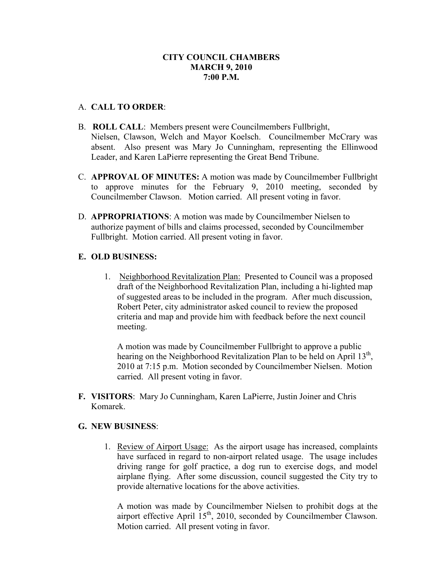# **CITY COUNCIL CHAMBERS MARCH 9, 2010 7:00 P.M.**

## A. **CALL TO ORDER**:

- B. **ROLL CALL**: Members present were Councilmembers Fullbright, Nielsen, Clawson, Welch and Mayor Koelsch. Councilmember McCrary was absent. Also present was Mary Jo Cunningham, representing the Ellinwood Leader, and Karen LaPierre representing the Great Bend Tribune.
- C. **APPROVAL OF MINUTES:** A motion was made by Councilmember Fullbright to approve minutes for the February 9, 2010 meeting, seconded by Councilmember Clawson. Motion carried. All present voting in favor.
- D. **APPROPRIATIONS**: A motion was made by Councilmember Nielsen to authorize payment of bills and claims processed, seconded by Councilmember Fullbright. Motion carried. All present voting in favor.

## **E. OLD BUSINESS:**

1. Neighborhood Revitalization Plan: Presented to Council was a proposed draft of the Neighborhood Revitalization Plan, including a hi-lighted map of suggested areas to be included in the program. After much discussion, Robert Peter, city administrator asked council to review the proposed criteria and map and provide him with feedback before the next council meeting.

A motion was made by Councilmember Fullbright to approve a public hearing on the Neighborhood Revitalization Plan to be held on April 13<sup>th</sup>, 2010 at 7:15 p.m. Motion seconded by Councilmember Nielsen. Motion carried. All present voting in favor.

**F. VISITORS**: Mary Jo Cunningham, Karen LaPierre, Justin Joiner and Chris Komarek.

## **G. NEW BUSINESS**:

1. Review of Airport Usage: As the airport usage has increased, complaints have surfaced in regard to non-airport related usage. The usage includes driving range for golf practice, a dog run to exercise dogs, and model airplane flying. After some discussion, council suggested the City try to provide alternative locations for the above activities.

A motion was made by Councilmember Nielsen to prohibit dogs at the airport effective April 15<sup>th</sup>, 2010, seconded by Councilmember Clawson. Motion carried. All present voting in favor.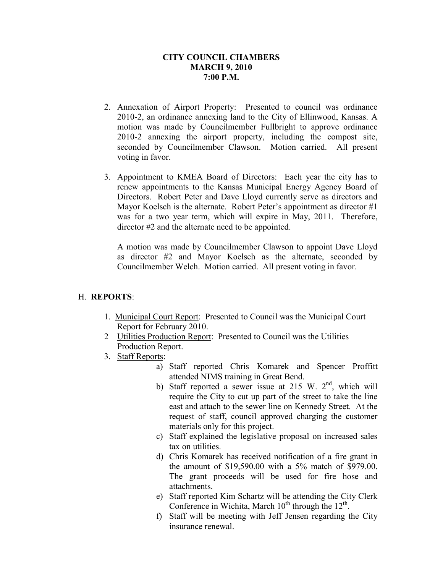# **CITY COUNCIL CHAMBERS MARCH 9, 2010 7:00 P.M.**

- 2. Annexation of Airport Property: Presented to council was ordinance 2010-2, an ordinance annexing land to the City of Ellinwood, Kansas. A motion was made by Councilmember Fullbright to approve ordinance 2010-2 annexing the airport property, including the compost site, seconded by Councilmember Clawson. Motion carried. All present voting in favor.
- 3. Appointment to KMEA Board of Directors: Each year the city has to renew appointments to the Kansas Municipal Energy Agency Board of Directors. Robert Peter and Dave Lloyd currently serve as directors and Mayor Koelsch is the alternate. Robert Peter's appointment as director #1 was for a two year term, which will expire in May, 2011. Therefore, director #2 and the alternate need to be appointed.

A motion was made by Councilmember Clawson to appoint Dave Lloyd as director #2 and Mayor Koelsch as the alternate, seconded by Councilmember Welch. Motion carried. All present voting in favor.

## H. **REPORTS**:

- 1. Municipal Court Report: Presented to Council was the Municipal Court Report for February 2010.
- 2 Utilities Production Report: Presented to Council was the Utilities Production Report.
- 3. Staff Reports:
	- a) Staff reported Chris Komarek and Spencer Proffitt attended NIMS training in Great Bend.
	- b) Staff reported a sewer issue at 215 W.  $2<sup>nd</sup>$ , which will require the City to cut up part of the street to take the line east and attach to the sewer line on Kennedy Street. At the request of staff, council approved charging the customer materials only for this project.
	- c) Staff explained the legislative proposal on increased sales tax on utilities.
	- d) Chris Komarek has received notification of a fire grant in the amount of \$19,590.00 with a 5% match of \$979.00. The grant proceeds will be used for fire hose and attachments.
	- e) Staff reported Kim Schartz will be attending the City Clerk Conference in Wichita, March  $10^{th}$  through the  $12^{th}$ .
	- f) Staff will be meeting with Jeff Jensen regarding the City insurance renewal.